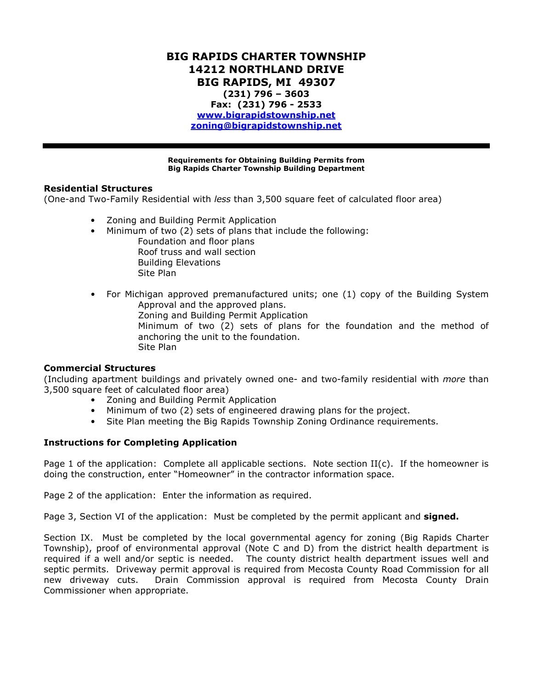# BIG RAPIDS CHARTER TOWNSHIP 14212 NORTHLAND DRIVE BIG RAPIDS, MI 49307 (231) 796 – 3603 Fax: (231) 796 - 2533 www.bigrapidstownship.net zoning@bigrapidstownship.net

Requirements for Obtaining Building Permits from Big Rapids Charter Township Building Department

#### Residential Structures

(One-and Two-Family Residential with less than 3,500 square feet of calculated floor area)

- Zoning and Building Permit Application
- Minimum of two (2) sets of plans that include the following:

 Foundation and floor plans Roof truss and wall section Building Elevations Site Plan

• For Michigan approved premanufactured units; one (1) copy of the Building System Approval and the approved plans.

Zoning and Building Permit Application

Minimum of two (2) sets of plans for the foundation and the method of anchoring the unit to the foundation. Site Plan

## Commercial Structures

(Including apartment buildings and privately owned one- and two-family residential with more than 3,500 square feet of calculated floor area)

- Zoning and Building Permit Application
- Minimum of two (2) sets of engineered drawing plans for the project.
- Site Plan meeting the Big Rapids Township Zoning Ordinance requirements.

## Instructions for Completing Application

Page 1 of the application: Complete all applicable sections. Note section  $II(c)$ . If the homeowner is doing the construction, enter "Homeowner" in the contractor information space.

Page 2 of the application: Enter the information as required.

Page 3, Section VI of the application: Must be completed by the permit applicant and signed.

Section IX. Must be completed by the local governmental agency for zoning (Big Rapids Charter Township), proof of environmental approval (Note C and D) from the district health department is required if a well and/or septic is needed. The county district health department issues well and septic permits. Driveway permit approval is required from Mecosta County Road Commission for all new driveway cuts. Drain Commission approval is required from Mecosta County Drain Commissioner when appropriate.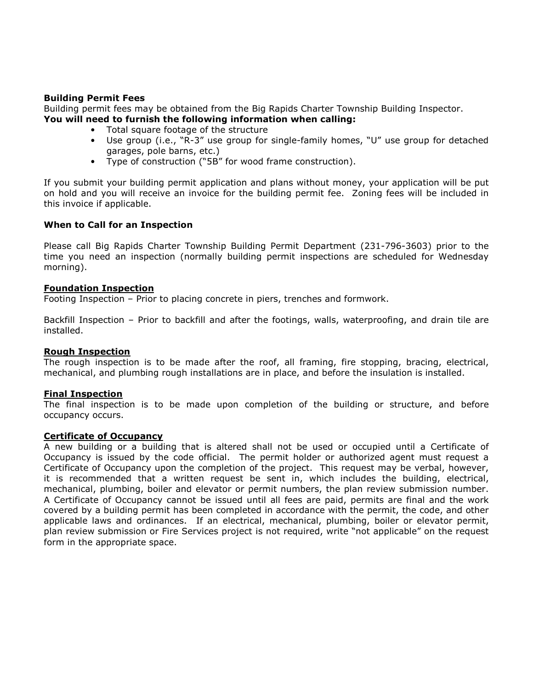## Building Permit Fees

Building permit fees may be obtained from the Big Rapids Charter Township Building Inspector. You will need to furnish the following information when calling:

- Total square footage of the structure
- Use group (i.e., "R-3" use group for single-family homes, "U" use group for detached garages, pole barns, etc.)
- Type of construction ("5B" for wood frame construction).

If you submit your building permit application and plans without money, your application will be put on hold and you will receive an invoice for the building permit fee. Zoning fees will be included in this invoice if applicable.

## When to Call for an Inspection

Please call Big Rapids Charter Township Building Permit Department (231-796-3603) prior to the time you need an inspection (normally building permit inspections are scheduled for Wednesday morning).

## Foundation Inspection

Footing Inspection – Prior to placing concrete in piers, trenches and formwork.

Backfill Inspection – Prior to backfill and after the footings, walls, waterproofing, and drain tile are installed.

## Rough Inspection

The rough inspection is to be made after the roof, all framing, fire stopping, bracing, electrical, mechanical, and plumbing rough installations are in place, and before the insulation is installed.

## Final Inspection

The final inspection is to be made upon completion of the building or structure, and before occupancy occurs.

#### Certificate of Occupancy

A new building or a building that is altered shall not be used or occupied until a Certificate of Occupancy is issued by the code official. The permit holder or authorized agent must request a Certificate of Occupancy upon the completion of the project. This request may be verbal, however, it is recommended that a written request be sent in, which includes the building, electrical, mechanical, plumbing, boiler and elevator or permit numbers, the plan review submission number. A Certificate of Occupancy cannot be issued until all fees are paid, permits are final and the work covered by a building permit has been completed in accordance with the permit, the code, and other applicable laws and ordinances. If an electrical, mechanical, plumbing, boiler or elevator permit, plan review submission or Fire Services project is not required, write "not applicable" on the request form in the appropriate space.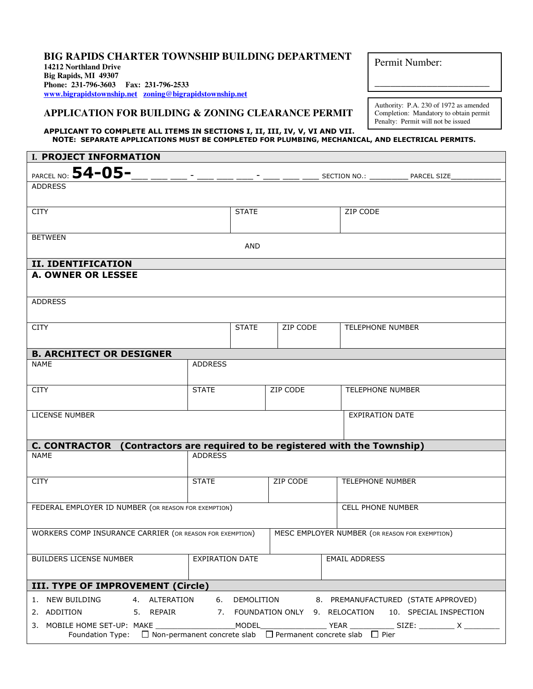#### **BIG RAPIDS CHARTER TOWNSHIP BUILDING DEPARTMENT 14212 Northland Drive**

**Big Rapids, MI 49307 Phone: 231-796-3603 Fax: 231-796-2533 www.bigrapidstownship.net zoning@bigrapidstownship.net**

## **APPLICATION FOR BUILDING & ZONING CLEARANCE PERMIT**

APPLICANT TO COMPLETE ALL ITEMS IN SECTIONS I, II, III, IV, V, VI AND VII. NOTE: SEPARATE APPLICATIONS MUST BE COMPLETED FOR PLUMBING, MECHANICAL, AND ELECTRICAL PERMITS.

| I. PROJECT INFORMATION                                                                         |                        |              |          |                                                         |  |  |  |  |  |  |
|------------------------------------------------------------------------------------------------|------------------------|--------------|----------|---------------------------------------------------------|--|--|--|--|--|--|
| PARCEL NO: 54-05-                                                                              |                        |              |          | SECTION NO.: ______<br>PARCEL SIZE                      |  |  |  |  |  |  |
| <b>ADDRESS</b>                                                                                 |                        |              |          |                                                         |  |  |  |  |  |  |
|                                                                                                |                        |              |          |                                                         |  |  |  |  |  |  |
| <b>CITY</b>                                                                                    |                        | <b>STATE</b> |          | ZIP CODE                                                |  |  |  |  |  |  |
|                                                                                                |                        |              |          |                                                         |  |  |  |  |  |  |
| <b>BETWEEN</b>                                                                                 |                        | <b>AND</b>   |          |                                                         |  |  |  |  |  |  |
| <b>II. IDENTIFICATION</b>                                                                      |                        |              |          |                                                         |  |  |  |  |  |  |
| <b>A. OWNER OR LESSEE</b>                                                                      |                        |              |          |                                                         |  |  |  |  |  |  |
|                                                                                                |                        |              |          |                                                         |  |  |  |  |  |  |
| ADDRESS                                                                                        |                        |              |          |                                                         |  |  |  |  |  |  |
| <b>CITY</b>                                                                                    |                        | <b>STATE</b> | ZIP CODE | <b>TELEPHONE NUMBER</b>                                 |  |  |  |  |  |  |
|                                                                                                |                        |              |          |                                                         |  |  |  |  |  |  |
| <b>B. ARCHITECT OR DESIGNER</b>                                                                |                        |              |          |                                                         |  |  |  |  |  |  |
| NAME                                                                                           | <b>ADDRESS</b>         |              |          |                                                         |  |  |  |  |  |  |
|                                                                                                |                        |              |          |                                                         |  |  |  |  |  |  |
| <b>CITY</b>                                                                                    | <b>STATE</b>           |              | ZIP CODE | <b>TELEPHONE NUMBER</b>                                 |  |  |  |  |  |  |
| LICENSE NUMBER                                                                                 |                        |              |          | <b>EXPIRATION DATE</b>                                  |  |  |  |  |  |  |
|                                                                                                |                        |              |          |                                                         |  |  |  |  |  |  |
| C. CONTRACTOR (Contractors are required to be registered with the Township)                    |                        |              |          |                                                         |  |  |  |  |  |  |
| NAME                                                                                           | <b>ADDRESS</b>         |              |          |                                                         |  |  |  |  |  |  |
|                                                                                                |                        |              |          |                                                         |  |  |  |  |  |  |
| <b>CITY</b>                                                                                    | <b>STATE</b>           |              | ZIP CODE | <b>TELEPHONE NUMBER</b>                                 |  |  |  |  |  |  |
|                                                                                                |                        |              |          |                                                         |  |  |  |  |  |  |
| FEDERAL EMPLOYER ID NUMBER (OR REASON FOR EXEMPTION)                                           |                        |              |          | <b>CELL PHONE NUMBER</b>                                |  |  |  |  |  |  |
| <b>WORKERS COMP INSURANCE CARRIER (OR REASON FOR EXEMPTION)</b>                                |                        |              |          | MESC EMPLOYER NUMBER (OR REASON FOR EXEMPTION)          |  |  |  |  |  |  |
|                                                                                                |                        |              |          |                                                         |  |  |  |  |  |  |
| BUILDERS LICENSE NUMBER                                                                        | <b>EXPIRATION DATE</b> |              |          | <b>EMAIL ADDRESS</b>                                    |  |  |  |  |  |  |
|                                                                                                |                        |              |          |                                                         |  |  |  |  |  |  |
| III. TYPE OF IMPROVEMENT (Circle)                                                              |                        |              |          |                                                         |  |  |  |  |  |  |
| 1. NEW BUILDING<br>4. ALTERATION                                                               | 6.                     | DEMOLITION   |          | 8. PREMANUFACTURED (STATE APPROVED)                     |  |  |  |  |  |  |
| 2. ADDITION<br>5. REPAIR                                                                       |                        |              |          | 7. FOUNDATION ONLY 9. RELOCATION 10. SPECIAL INSPECTION |  |  |  |  |  |  |
| Foundation Type: $\Box$ Non-permanent concrete slab $\Box$ Permanent concrete slab $\Box$ Pier |                        |              |          |                                                         |  |  |  |  |  |  |

Permit Number:

Authority: P.A. 230 of 1972 as amended Completion: Mandatory to obtain permit Penalty: Permit will not be issued

\_\_\_\_\_\_\_\_\_\_\_\_\_\_\_\_\_\_\_\_\_\_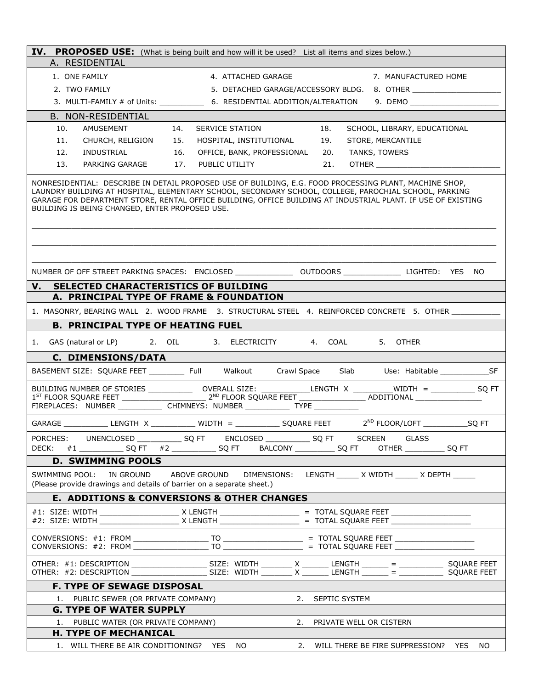| IV. PROPOSED USE: (What is being built and how will it be used? List all items and sizes below.)                                                                                                                                                                                                                                                                                  |                                                                        |                            |                                                                                                                |
|-----------------------------------------------------------------------------------------------------------------------------------------------------------------------------------------------------------------------------------------------------------------------------------------------------------------------------------------------------------------------------------|------------------------------------------------------------------------|----------------------------|----------------------------------------------------------------------------------------------------------------|
| A. RESIDENTIAL                                                                                                                                                                                                                                                                                                                                                                    |                                                                        |                            |                                                                                                                |
| 1. ONE FAMILY                                                                                                                                                                                                                                                                                                                                                                     | 4. ATTACHED GARAGE                                                     |                            | 7. MANUFACTURED HOME                                                                                           |
| 2. TWO FAMILY                                                                                                                                                                                                                                                                                                                                                                     |                                                                        |                            | 5. DETACHED GARAGE/ACCESSORY BLDG. 8. OTHER ______________________                                             |
|                                                                                                                                                                                                                                                                                                                                                                                   |                                                                        |                            | 3. MULTI-FAMILY # of Units: _______________ 6. RESIDENTIAL ADDITION/ALTERATION 9. DEMO _______________________ |
| B. NON-RESIDENTIAL                                                                                                                                                                                                                                                                                                                                                                |                                                                        |                            |                                                                                                                |
| 10.<br>AMUSEMENT                                                                                                                                                                                                                                                                                                                                                                  | 14.<br>SERVICE STATION                                                 | 18.                        | SCHOOL, LIBRARY, EDUCATIONAL                                                                                   |
| 11.<br>CHURCH, RELIGION 15.                                                                                                                                                                                                                                                                                                                                                       | HOSPITAL, INSTITUTIONAL                                                | 19.                        | STORE, MERCANTILE                                                                                              |
| INDUSTRIAL<br>12.                                                                                                                                                                                                                                                                                                                                                                 | 16.<br>OFFICE, BANK, PROFESSIONAL                                      | 20.                        | TANKS, TOWERS                                                                                                  |
| 13.<br>PARKING GARAGE 17.                                                                                                                                                                                                                                                                                                                                                         | PUBLIC UTILITY                                                         | 21.                        |                                                                                                                |
| NONRESIDENTIAL: DESCRIBE IN DETAIL PROPOSED USE OF BUILDING, E.G. FOOD PROCESSING PLANT, MACHINE SHOP,<br>LAUNDRY BUILDING AT HOSPITAL, ELEMENTARY SCHOOL, SECONDARY SCHOOL, COLLEGE, PAROCHIAL SCHOOL, PARKING<br>GARAGE FOR DEPARTMENT STORE, RENTAL OFFICE BUILDING, OFFICE BUILDING AT INDUSTRIAL PLANT. IF USE OF EXISTING<br>BUILDING IS BEING CHANGED, ENTER PROPOSED USE. |                                                                        |                            |                                                                                                                |
| NUMBER OF OFF STREET PARKING SPACES: ENCLOSED _________________ OUTDOORS ________________ LIGHTED: YES NO                                                                                                                                                                                                                                                                         |                                                                        |                            |                                                                                                                |
| SELECTED CHARACTERISTICS OF BUILDING<br>V.                                                                                                                                                                                                                                                                                                                                        |                                                                        |                            |                                                                                                                |
| A. PRINCIPAL TYPE OF FRAME & FOUNDATION                                                                                                                                                                                                                                                                                                                                           |                                                                        |                            |                                                                                                                |
| 1. MASONRY, BEARING WALL 2. WOOD FRAME 3. STRUCTURAL STEEL 4. REINFORCED CONCRETE 5. OTHER ___________                                                                                                                                                                                                                                                                            |                                                                        |                            |                                                                                                                |
| <b>B. PRINCIPAL TYPE OF HEATING FUEL</b>                                                                                                                                                                                                                                                                                                                                          |                                                                        |                            |                                                                                                                |
|                                                                                                                                                                                                                                                                                                                                                                                   |                                                                        |                            |                                                                                                                |
| GAS (natural or LP) and all contracts are contracted by the contract of the contract of the contract of the contract of the contract of the contract of the contract of the contract of the contract of the contract of the co<br>1.                                                                                                                                              |                                                                        |                            | 5. OTHER                                                                                                       |
| C. DIMENSIONS/DATA                                                                                                                                                                                                                                                                                                                                                                |                                                                        |                            |                                                                                                                |
| BASEMENT SIZE: SQUARE FEET __________ Full Walkout Crawl Space Slab Use: Habitable _______________SF                                                                                                                                                                                                                                                                              |                                                                        |                            |                                                                                                                |
|                                                                                                                                                                                                                                                                                                                                                                                   |                                                                        |                            |                                                                                                                |
| GARAGE _______________ LENGTH $\begin{array}{ccc} \times & \quad \text{WIDTH} = \_ \text{MIDTH} \end{array}$ SQUARE FEET $\begin{array}{ccc} & \text{2}^{\text{ND}} \text{ FLOOR/LOFT} \_ \text{MIDTH} \end{array}$                                                                                                                                                               |                                                                        |                            |                                                                                                                |
| PORCHES:<br>DECK:                                                                                                                                                                                                                                                                                                                                                                 | UNENCLOSED ________________ SQ FT ENCLOSED ______________ SQ FT SCREEN |                            | GLASS<br>OTHER _______________ SQ FT                                                                           |
| <b>D. SWIMMING POOLS</b>                                                                                                                                                                                                                                                                                                                                                          |                                                                        |                            |                                                                                                                |
| SWIMMING POOL:<br>IN GROUND<br>(Please provide drawings and details of barrier on a separate sheet.)                                                                                                                                                                                                                                                                              | ABOVE GROUND                                                           |                            | DIMENSIONS: LENGTH _____ X WIDTH _____ X DEPTH _____                                                           |
| <b>E. ADDITIONS &amp; CONVERSIONS &amp; OTHER CHANGES</b>                                                                                                                                                                                                                                                                                                                         |                                                                        |                            |                                                                                                                |
|                                                                                                                                                                                                                                                                                                                                                                                   |                                                                        |                            |                                                                                                                |
|                                                                                                                                                                                                                                                                                                                                                                                   |                                                                        |                            |                                                                                                                |
| OTHER: $\#1$ : DESCRIPTION __________________________________ SIZE: WIDTH _________ X __________ LENGTH _________ = ______________ SQUARE FEET<br>OTHER: #2: DESCRIPTION ___________________________________ SIZE: WIDTH _________ X __________ LENGTH _________ = ______________ SQUARE FEET                                                                                     |                                                                        |                            |                                                                                                                |
| <b>F. TYPE OF SEWAGE DISPOSAL</b>                                                                                                                                                                                                                                                                                                                                                 |                                                                        |                            |                                                                                                                |
| PUBLIC SEWER (OR PRIVATE COMPANY)<br>1.                                                                                                                                                                                                                                                                                                                                           |                                                                        | 2. SEPTIC SYSTEM           |                                                                                                                |
| <b>G. TYPE OF WATER SUPPLY</b>                                                                                                                                                                                                                                                                                                                                                    |                                                                        |                            |                                                                                                                |
| PUBLIC WATER (OR PRIVATE COMPANY)<br>1.                                                                                                                                                                                                                                                                                                                                           |                                                                        | 2. PRIVATE WELL OR CISTERN |                                                                                                                |
| <b>H. TYPE OF MECHANICAL</b>                                                                                                                                                                                                                                                                                                                                                      |                                                                        |                            |                                                                                                                |
| 1. WILL THERE BE AIR CONDITIONING? YES NO                                                                                                                                                                                                                                                                                                                                         |                                                                        |                            | 2. WILL THERE BE FIRE SUPPRESSION? YES NO                                                                      |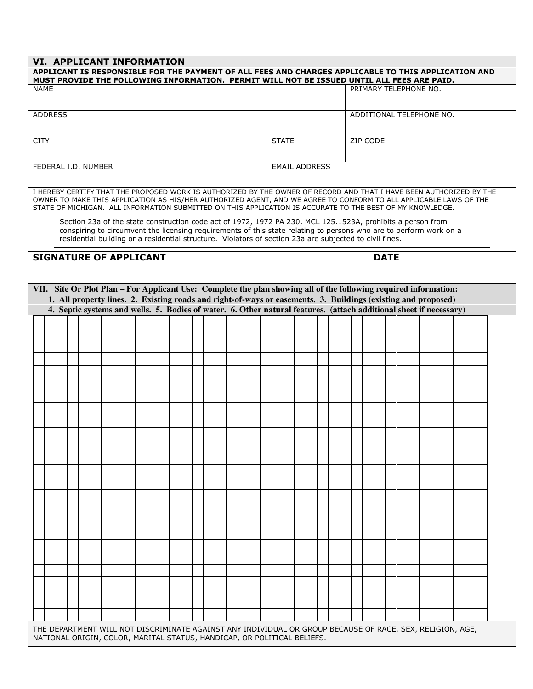|                                                                                                                                                                                                                                     | VI. APPLICANT INFORMATION<br>APPLICANT IS RESPONSIBLE FOR THE PAYMENT OF ALL FEES AND CHARGES APPLICABLE TO THIS APPLICATION AND<br>MUST PROVIDE THE FOLLOWING INFORMATION. PERMIT WILL NOT BE ISSUED UNTIL ALL FEES ARE PAID.                                                                                                               |  |  |  |  |  |  |  |  |  |  |  |  |  |  |  |  |              |  |  |                          |                       |  |  |  |  |  |  |  |  |  |  |  |
|-------------------------------------------------------------------------------------------------------------------------------------------------------------------------------------------------------------------------------------|----------------------------------------------------------------------------------------------------------------------------------------------------------------------------------------------------------------------------------------------------------------------------------------------------------------------------------------------|--|--|--|--|--|--|--|--|--|--|--|--|--|--|--|--|--------------|--|--|--------------------------|-----------------------|--|--|--|--|--|--|--|--|--|--|--|
| <b>NAME</b>                                                                                                                                                                                                                         |                                                                                                                                                                                                                                                                                                                                              |  |  |  |  |  |  |  |  |  |  |  |  |  |  |  |  |              |  |  |                          | PRIMARY TELEPHONE NO. |  |  |  |  |  |  |  |  |  |  |  |
| <b>ADDRESS</b>                                                                                                                                                                                                                      |                                                                                                                                                                                                                                                                                                                                              |  |  |  |  |  |  |  |  |  |  |  |  |  |  |  |  |              |  |  | ADDITIONAL TELEPHONE NO. |                       |  |  |  |  |  |  |  |  |  |  |  |
| <b>CITY</b>                                                                                                                                                                                                                         |                                                                                                                                                                                                                                                                                                                                              |  |  |  |  |  |  |  |  |  |  |  |  |  |  |  |  | <b>STATE</b> |  |  | ZIP CODE                 |                       |  |  |  |  |  |  |  |  |  |  |  |
|                                                                                                                                                                                                                                     | FEDERAL I.D. NUMBER<br><b>EMAIL ADDRESS</b>                                                                                                                                                                                                                                                                                                  |  |  |  |  |  |  |  |  |  |  |  |  |  |  |  |  |              |  |  |                          |                       |  |  |  |  |  |  |  |  |  |  |  |
|                                                                                                                                                                                                                                     | I HEREBY CERTIFY THAT THE PROPOSED WORK IS AUTHORIZED BY THE OWNER OF RECORD AND THAT I HAVE BEEN AUTHORIZED BY THE                                                                                                                                                                                                                          |  |  |  |  |  |  |  |  |  |  |  |  |  |  |  |  |              |  |  |                          |                       |  |  |  |  |  |  |  |  |  |  |  |
|                                                                                                                                                                                                                                     | OWNER TO MAKE THIS APPLICATION AS HIS/HER AUTHORIZED AGENT, AND WE AGREE TO CONFORM TO ALL APPLICABLE LAWS OF THE<br>STATE OF MICHIGAN. ALL INFORMATION SUBMITTED ON THIS APPLICATION IS ACCURATE TO THE BEST OF MY KNOWLEDGE.                                                                                                               |  |  |  |  |  |  |  |  |  |  |  |  |  |  |  |  |              |  |  |                          |                       |  |  |  |  |  |  |  |  |  |  |  |
|                                                                                                                                                                                                                                     | Section 23a of the state construction code act of 1972, 1972 PA 230, MCL 125.1523A, prohibits a person from<br>conspiring to circumvent the licensing requirements of this state relating to persons who are to perform work on a<br>residential building or a residential structure. Violators of section 23a are subjected to civil fines. |  |  |  |  |  |  |  |  |  |  |  |  |  |  |  |  |              |  |  |                          |                       |  |  |  |  |  |  |  |  |  |  |  |
|                                                                                                                                                                                                                                     | <b>SIGNATURE OF APPLICANT</b><br><b>DATE</b>                                                                                                                                                                                                                                                                                                 |  |  |  |  |  |  |  |  |  |  |  |  |  |  |  |  |              |  |  |                          |                       |  |  |  |  |  |  |  |  |  |  |  |
|                                                                                                                                                                                                                                     | VII. Site Or Plot Plan – For Applicant Use: Complete the plan showing all of the following required information:                                                                                                                                                                                                                             |  |  |  |  |  |  |  |  |  |  |  |  |  |  |  |  |              |  |  |                          |                       |  |  |  |  |  |  |  |  |  |  |  |
| 1. All property lines. 2. Existing roads and right-of-ways or easements. 3. Buildings (existing and proposed)<br>4. Septic systems and wells. 5. Bodies of water. 6. Other natural features. (attach additional sheet if necessary) |                                                                                                                                                                                                                                                                                                                                              |  |  |  |  |  |  |  |  |  |  |  |  |  |  |  |  |              |  |  |                          |                       |  |  |  |  |  |  |  |  |  |  |  |
|                                                                                                                                                                                                                                     |                                                                                                                                                                                                                                                                                                                                              |  |  |  |  |  |  |  |  |  |  |  |  |  |  |  |  |              |  |  |                          |                       |  |  |  |  |  |  |  |  |  |  |  |
|                                                                                                                                                                                                                                     |                                                                                                                                                                                                                                                                                                                                              |  |  |  |  |  |  |  |  |  |  |  |  |  |  |  |  |              |  |  |                          |                       |  |  |  |  |  |  |  |  |  |  |  |
|                                                                                                                                                                                                                                     |                                                                                                                                                                                                                                                                                                                                              |  |  |  |  |  |  |  |  |  |  |  |  |  |  |  |  |              |  |  |                          |                       |  |  |  |  |  |  |  |  |  |  |  |
|                                                                                                                                                                                                                                     |                                                                                                                                                                                                                                                                                                                                              |  |  |  |  |  |  |  |  |  |  |  |  |  |  |  |  |              |  |  |                          |                       |  |  |  |  |  |  |  |  |  |  |  |
|                                                                                                                                                                                                                                     |                                                                                                                                                                                                                                                                                                                                              |  |  |  |  |  |  |  |  |  |  |  |  |  |  |  |  |              |  |  |                          |                       |  |  |  |  |  |  |  |  |  |  |  |
|                                                                                                                                                                                                                                     |                                                                                                                                                                                                                                                                                                                                              |  |  |  |  |  |  |  |  |  |  |  |  |  |  |  |  |              |  |  |                          |                       |  |  |  |  |  |  |  |  |  |  |  |
|                                                                                                                                                                                                                                     |                                                                                                                                                                                                                                                                                                                                              |  |  |  |  |  |  |  |  |  |  |  |  |  |  |  |  |              |  |  |                          |                       |  |  |  |  |  |  |  |  |  |  |  |
|                                                                                                                                                                                                                                     |                                                                                                                                                                                                                                                                                                                                              |  |  |  |  |  |  |  |  |  |  |  |  |  |  |  |  |              |  |  |                          |                       |  |  |  |  |  |  |  |  |  |  |  |
|                                                                                                                                                                                                                                     |                                                                                                                                                                                                                                                                                                                                              |  |  |  |  |  |  |  |  |  |  |  |  |  |  |  |  |              |  |  |                          |                       |  |  |  |  |  |  |  |  |  |  |  |
|                                                                                                                                                                                                                                     |                                                                                                                                                                                                                                                                                                                                              |  |  |  |  |  |  |  |  |  |  |  |  |  |  |  |  |              |  |  |                          |                       |  |  |  |  |  |  |  |  |  |  |  |
|                                                                                                                                                                                                                                     |                                                                                                                                                                                                                                                                                                                                              |  |  |  |  |  |  |  |  |  |  |  |  |  |  |  |  |              |  |  |                          |                       |  |  |  |  |  |  |  |  |  |  |  |
|                                                                                                                                                                                                                                     |                                                                                                                                                                                                                                                                                                                                              |  |  |  |  |  |  |  |  |  |  |  |  |  |  |  |  |              |  |  |                          |                       |  |  |  |  |  |  |  |  |  |  |  |
|                                                                                                                                                                                                                                     |                                                                                                                                                                                                                                                                                                                                              |  |  |  |  |  |  |  |  |  |  |  |  |  |  |  |  |              |  |  |                          |                       |  |  |  |  |  |  |  |  |  |  |  |
|                                                                                                                                                                                                                                     |                                                                                                                                                                                                                                                                                                                                              |  |  |  |  |  |  |  |  |  |  |  |  |  |  |  |  |              |  |  |                          |                       |  |  |  |  |  |  |  |  |  |  |  |
|                                                                                                                                                                                                                                     |                                                                                                                                                                                                                                                                                                                                              |  |  |  |  |  |  |  |  |  |  |  |  |  |  |  |  |              |  |  |                          |                       |  |  |  |  |  |  |  |  |  |  |  |
|                                                                                                                                                                                                                                     |                                                                                                                                                                                                                                                                                                                                              |  |  |  |  |  |  |  |  |  |  |  |  |  |  |  |  |              |  |  |                          |                       |  |  |  |  |  |  |  |  |  |  |  |
|                                                                                                                                                                                                                                     |                                                                                                                                                                                                                                                                                                                                              |  |  |  |  |  |  |  |  |  |  |  |  |  |  |  |  |              |  |  |                          |                       |  |  |  |  |  |  |  |  |  |  |  |
|                                                                                                                                                                                                                                     |                                                                                                                                                                                                                                                                                                                                              |  |  |  |  |  |  |  |  |  |  |  |  |  |  |  |  |              |  |  |                          |                       |  |  |  |  |  |  |  |  |  |  |  |
|                                                                                                                                                                                                                                     |                                                                                                                                                                                                                                                                                                                                              |  |  |  |  |  |  |  |  |  |  |  |  |  |  |  |  |              |  |  |                          |                       |  |  |  |  |  |  |  |  |  |  |  |
| THE DEPARTMENT WILL NOT DISCRIMINATE AGAINST ANY INDIVIDUAL OR GROUP BECAUSE OF RACE, SEX, RELIGION, AGE,<br>NATIONAL ORIGIN, COLOR, MARITAL STATUS, HANDICAP, OR POLITICAL BELIEFS.                                                |                                                                                                                                                                                                                                                                                                                                              |  |  |  |  |  |  |  |  |  |  |  |  |  |  |  |  |              |  |  |                          |                       |  |  |  |  |  |  |  |  |  |  |  |